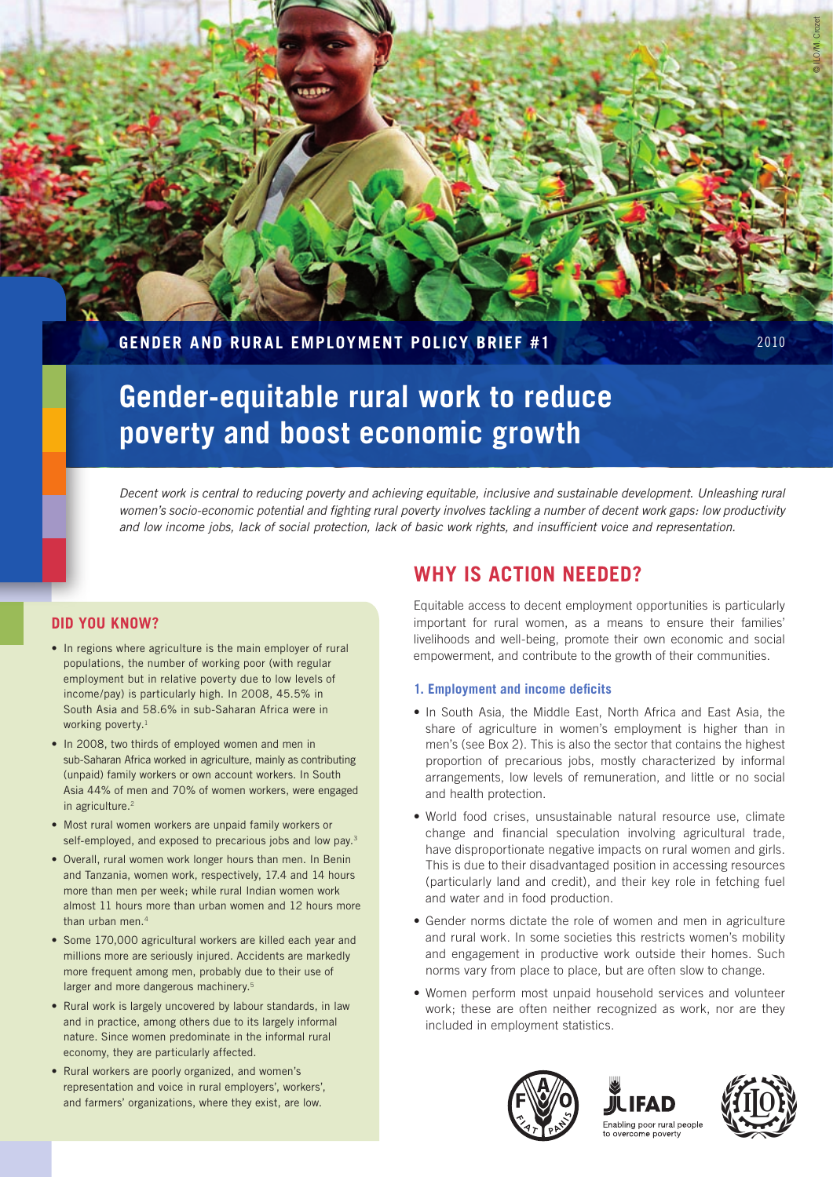# **Gender and Rural Employment Policy Brief #1** 2010

# **Gender-equitable rural work to reduce poverty and boost economic growth**

*Decent work is central to reducing poverty and achieving equitable, inclusive and sustainable development. Unleashing rural women's socio-economic potential and fighting rural poverty involves tackling a number of decent work gaps: low productivity and low income jobs, lack of social protection, lack of basic work rights, and insufficient voice and representation.*

# **Did you know?**

- In regions where agriculture is the main employer of rural populations, the number of working poor (with regular employment but in relative poverty due to low levels of income/pay) is particularly high. In 2008, 45.5% in South Asia and 58.6% in sub-Saharan Africa were in working poverty.<sup>1</sup>
- In 2008, two thirds of employed women and men in sub-Saharan Africa worked in agriculture, mainly as contributing (unpaid) family workers or own account workers. In South Asia 44% of men and 70% of women workers, were engaged in agriculture.<sup>2</sup>
- Most rural women workers are unpaid family workers or self-employed, and exposed to precarious jobs and low pay.<sup>3</sup>
- Overall, rural women work longer hours than men. In Benin and Tanzania, women work, respectively, 17.4 and 14 hours more than men per week; while rural Indian women work almost 11 hours more than urban women and 12 hours more than urban men.<sup>4</sup>
- Some 170,000 agricultural workers are killed each year and millions more are seriously injured. Accidents are markedly more frequent among men, probably due to their use of larger and more dangerous machinery.<sup>5</sup>
- Rural work is largely uncovered by labour standards, in law and in practice, among others due to its largely informal nature. Since women predominate in the informal rural economy, they are particularly affected.
- Rural workers are poorly organized, and women's representation and voice in rural employers', workers', and farmers' organizations, where they exist, are low.

# **Why is action needed?**

Equitable access to decent employment opportunities is particularly important for rural women, as a means to ensure their families' livelihoods and well-being, promote their own economic and social empowerment, and contribute to the growth of their communities.

# **1. Employment and income deficits**

- In South Asia, the Middle East, North Africa and East Asia, the share of agriculture in women's employment is higher than in men's (see Box 2). This is also the sector that contains the highest proportion of precarious jobs, mostly characterized by informal arrangements, low levels of remuneration, and little or no social and health protection.
- World food crises, unsustainable natural resource use, climate change and financial speculation involving agricultural trade, have disproportionate negative impacts on rural women and girls. This is due to their disadvantaged position in accessing resources (particularly land and credit), and their key role in fetching fuel and water and in food production.
- Gender norms dictate the role of women and men in agriculture and rural work. In some societies this restricts women's mobility and engagement in productive work outside their homes. Such norms vary from place to place, but are often slow to change.
- Women perform most unpaid household services and volunteer work; these are often neither recognized as work, nor are they included in employment statistics.







© ILO/M. Crozet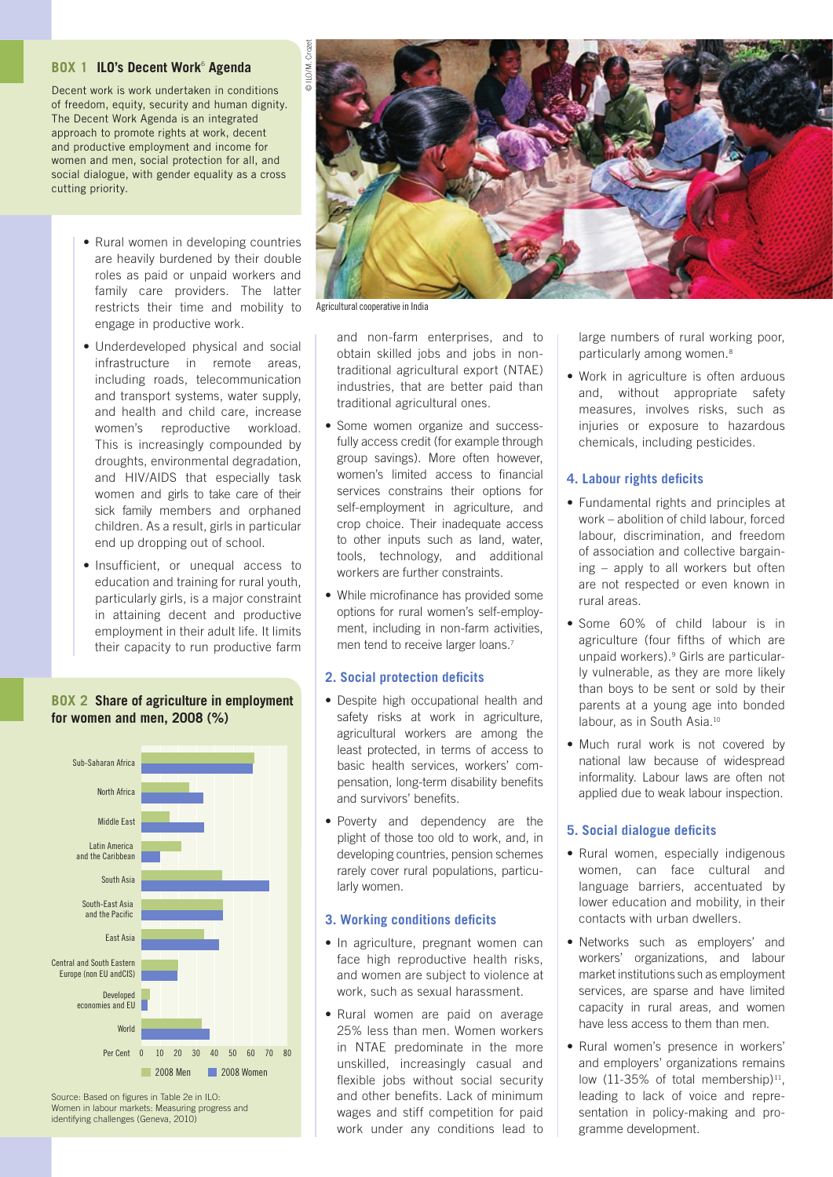#### **Box 1 ILO's Decent Work**<sup>6</sup> **Agenda**

Decent work is work undertaken in conditions of freedom, equity, security and human dignity. The Decent Work Agenda is an integrated approach to promote rights at work, decent and productive employment and income for women and men, social protection for all, and social dialogue, with gender equality as a cross cutting priority.

- Rural women in developing countries are heavily burdened by their double roles as paid or unpaid workers and family care providers. The latter restricts their time and mobility to engage in productive work.
- Underdeveloped physical and social infrastructure in remote areas, including roads, telecommunication and transport systems, water supply, and health and child care, increase women's reproductive workload. This is increasingly compounded by droughts, environmental degradation, and HIV/AIDS that especially task women and girls to take care of their sick family members and orphaned children. As a result, girls in particular end up dropping out of school.
- Insufficient, or unequal access to education and training for rural youth, particularly girls, is a major constraint in attaining decent and productive employment in their adult life. It limits their capacity to run productive farm

#### **Box 2 Share of agriculture in employment for women and men, 2008 (%)**





#### **3. Working conditions deficits**

- In agriculture, pregnant women can face high reproductive health risks, and women are subject to violence at work, such as sexual harassment.
- Rural women are paid on average 25% less than men. Women workers in NTAE predominate in the more unskilled, increasingly casual and flexible jobs without social security and other benefits. Lack of minimum wages and stiff competition for paid work under any conditions lead to

and non-farm enterprises, and to obtain skilled jobs and jobs in nontraditional agricultural export (NTAE) industries, that are better paid than

traditional agricultural ones.

Agricultural cooperative in India

© ILO/M. Crozet

**DILO/M.** 

- Some women organize and successfully access credit (for example through group savings). More often however, women's limited access to financial services constrains their options for self-employment in agriculture, and crop choice. Their inadequate access to other inputs such as land, water, tools, technology, and additional workers are further constraints.
- While microfinance has provided some options for rural women's self-employment, including in non-farm activities, men tend to receive larger loans.<sup>7</sup>

#### **2. Social protection deficits**

- Despite high occupational health and safety risks at work in agriculture. agricultural workers are among the least protected, in terms of access to basic health services, workers' compensation, long-term disability benefits and survivors' benefits.
- Poverty and dependency are the plight of those too old to work, and, in developing countries, pension schemes rarely cover rural populations, particularly women.

## large numbers of rural working poor, particularly among women.<sup>8</sup>

• Work in agriculture is often arduous and, without appropriate safety measures, involves risks, such as injuries or exposure to hazardous chemicals, including pesticides.

#### **4. Labour rights deficits**

- Fundamental rights and principles at work – abolition of child labour, forced labour, discrimination, and freedom of association and collective bargaining – apply to all workers but often are not respected or even known in rural areas.
- Some 60% of child labour is in agriculture (four fifths of which are unpaid workers).9 Girls are particularly vulnerable, as they are more likely than boys to be sent or sold by their parents at a young age into bonded labour, as in South Asia.10
- Much rural work is not covered by national law because of widespread informality. Labour laws are often not applied due to weak labour inspection.

#### **5. Social dialogue deficits**

- Rural women, especially indigenous women, can face cultural and language barriers, accentuated by lower education and mobility, in their contacts with urban dwellers.
- Networks such as employers' and workers' organizations, and labour market institutions such as employment services, are sparse and have limited capacity in rural areas, and women have less access to them than men.
- Rural women's presence in workers' and employers' organizations remains low (11-35% of total membership) $11$ , leading to lack of voice and representation in policy-making and programme development.

Source: Based on figures in Table 2e in ILO: Women in labour markets: Measuring progress and identifying challenges (Geneva, 2010)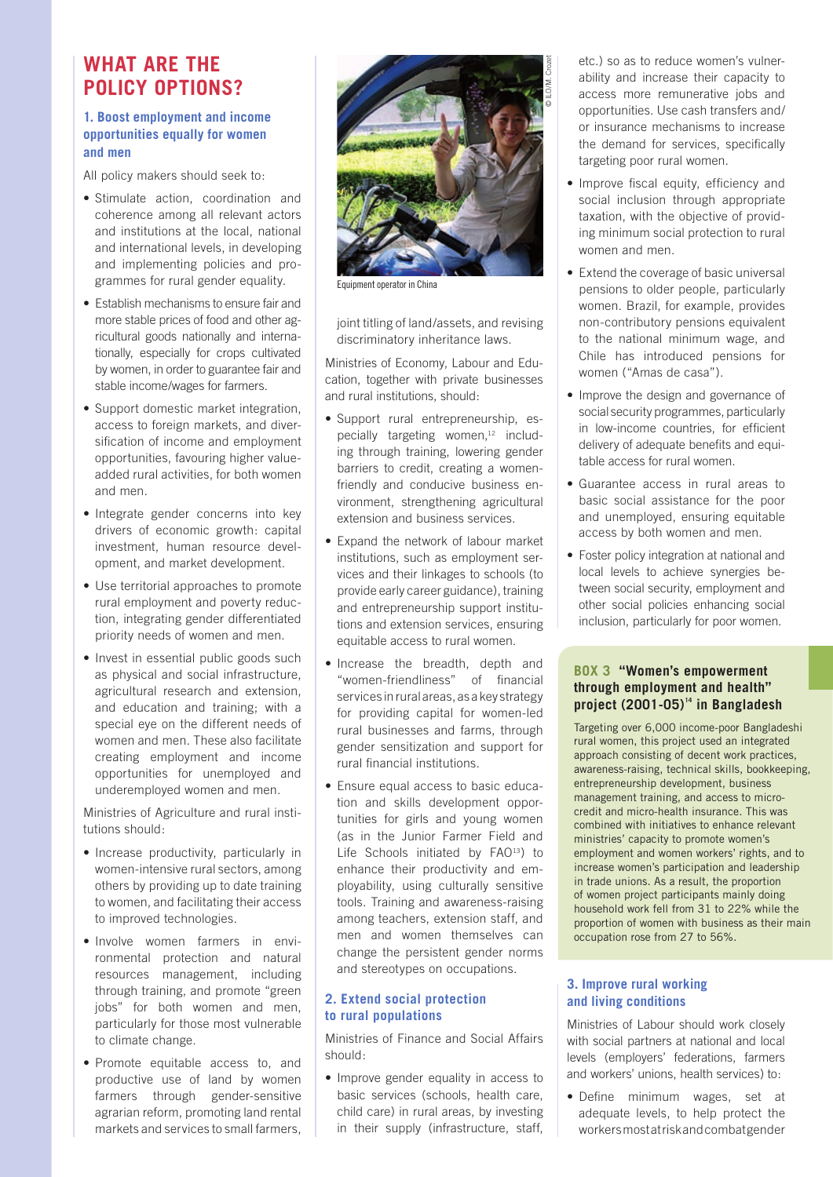# **What are the policy options?**

### **1. Boost employment and income opportunities equally for women and men**

All policy makers should seek to:

- Stimulate action, coordination and coherence among all relevant actors and institutions at the local, national and international levels, in developing and implementing policies and programmes for rural gender equality.
- Establish mechanisms to ensure fair and more stable prices of food and other agricultural goods nationally and internationally, especially for crops cultivated by women, in order to guarantee fair and stable income/wages for farmers.
- Support domestic market integration, access to foreign markets, and diversification of income and employment opportunities, favouring higher valueadded rural activities, for both women and men.
- Integrate gender concerns into key drivers of economic growth: capital investment, human resource development, and market development.
- Use territorial approaches to promote rural employment and poverty reduction, integrating gender differentiated priority needs of women and men.
- Invest in essential public goods such as physical and social infrastructure, agricultural research and extension, and education and training; with a special eye on the different needs of women and men. These also facilitate creating employment and income opportunities for unemployed and underemployed women and men.

Ministries of Agriculture and rural institutions should:

- Increase productivity, particularly in women-intensive rural sectors, among others by providing up to date training to women, and facilitating their access to improved technologies.
- Involve women farmers in environmental protection and natural resources management, including through training, and promote "green jobs" for both women and men, particularly for those most vulnerable to climate change.
- • Promote equitable access to, and productive use of land by women farmers through gender-sensitive agrarian reform, promoting land rental markets and services to small farmers,



Equipment operator in China

joint titling of land/assets, and revising discriminatory inheritance laws.

Ministries of Economy, Labour and Education, together with private businesses and rural institutions, should:

- Support rural entrepreneurship, especially targeting women,<sup>12</sup> including through training, lowering gender barriers to credit, creating a womenfriendly and conducive business environment, strengthening agricultural extension and business services.
- Expand the network of labour market institutions, such as employment services and their linkages to schools (to provide early career guidance), training and entrepreneurship support institutions and extension services, ensuring equitable access to rural women.
- Increase the breadth, depth and "women-friendliness" of financial services in rural areas, as a key strategy for providing capital for women-led rural businesses and farms, through gender sensitization and support for rural financial institutions.
- Ensure equal access to basic education and skills development opportunities for girls and young women (as in the Junior Farmer Field and Life Schools initiated by FAO<sup>13</sup>) to enhance their productivity and employability, using culturally sensitive tools. Training and awareness-raising among teachers, extension staff, and men and women themselves can change the persistent gender norms and stereotypes on occupations.

#### **2. Extend social protection to rural populations**

Ministries of Finance and Social Affairs should:

• Improve gender equality in access to basic services (schools, health care, child care) in rural areas, by investing in their supply (infrastructure, staff, etc.) so as to reduce women's vulnerability and increase their capacity to access more remunerative jobs and opportunities. Use cash transfers and/ or insurance mechanisms to increase the demand for services, specifically targeting poor rural women.

- Improve fiscal equity, efficiency and social inclusion through appropriate taxation, with the objective of providing minimum social protection to rural women and men.
- Extend the coverage of basic universal pensions to older people, particularly women. Brazil, for example, provides non-contributory pensions equivalent to the national minimum wage, and Chile has introduced pensions for women ("Amas de casa").
- Improve the design and governance of social security programmes, particularly in low-income countries, for efficient delivery of adequate benefits and equitable access for rural women.
- • Guarantee access in rural areas to basic social assistance for the poor and unemployed, ensuring equitable access by both women and men.
- Foster policy integration at national and local levels to achieve synergies between social security, employment and other social policies enhancing social inclusion, particularly for poor women.

### **Box 3 "Women's empowerment through employment and health" project (2001-05)14 in Bangladesh**

• Targeting over 6,000 income-poor Bangladeshi rural women, this project used an integrated approach consisting of decent work practices, awareness-raising, technical skills, bookkeeping, entrepreneurship development, business management training, and access to microcredit and micro-health insurance. This was combined with initiatives to enhance relevant ministries' capacity to promote women's employment and women workers' rights, and to increase women's participation and leadership in trade unions. As a result, the proportion of women project participants mainly doing household work fell from 31 to 22% while the proportion of women with business as their main occupation rose from 27 to 56%.

### **3. Improve rural working and living conditions**

Ministries of Labour should work closely with social partners at national and local levels (employers' federations, farmers and workers' unions, health services) to:

• Define minimum wages, set at adequate levels, to help protect the workers most at risk and combat gender